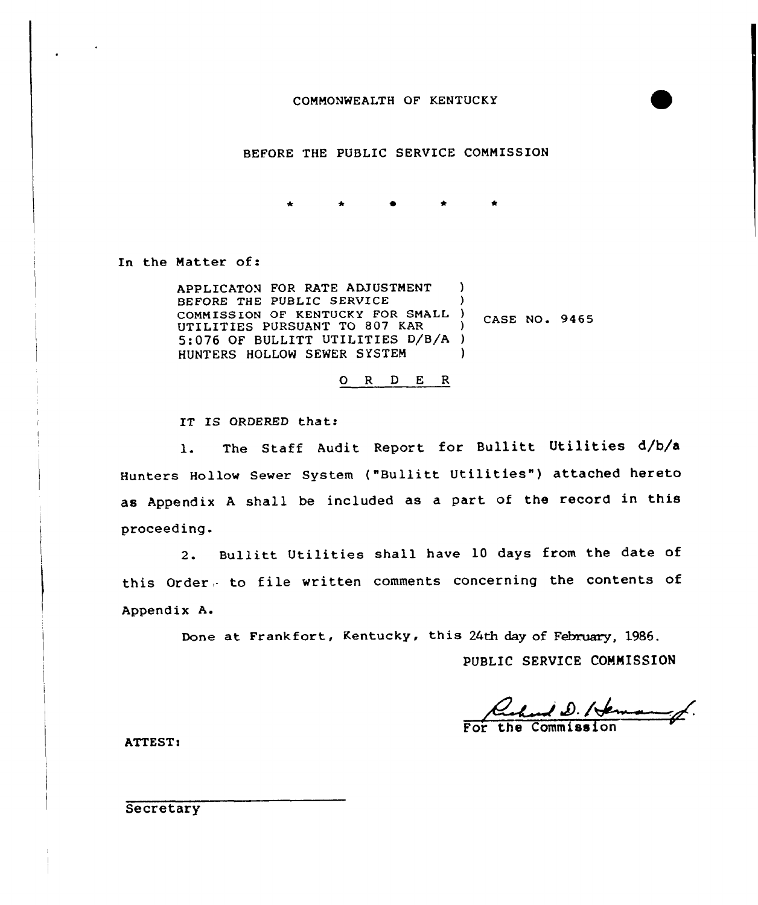

# BEFORE THE PUBLIC SERVICE COMMISSION

 $\bullet$ 

In the Matter of:

APPLICATON FOR RATE ADJUSTMENT BEFORE THE PUBLIC SERVICE COMMISSION OF KENTUCKY FOR SMALL ) UTILITIES PURSUANT TO 807 KAR 5:076 OF BULLITT UTILITIES D/B/A ) HUNTERS HOLLON SENER SYSTEM ) ) ) CASE NO. 9465 )

0 <sup>R</sup> <sup>D</sup> E <sup>R</sup>

IT IS ORDERED that:

1. The Staff Audit Report for Bullitt Utilities d/b/a Hunters Hollow Sewer System ("Bullitt Utilities" ) attached hereto as Appendix <sup>A</sup> shall be included as <sup>a</sup> part of the record in this proceeding.

2. Bullitt Utilities shall have 10 days from the date of this Order, to file written comments concerning the contents of Appendix A.

Done at Frankfort, Kentucky, this 24th day of February, 1986.

PUBLIC SERVICE COMMISSION

Lehard D. / Verman

ATTEST:

**Secretary**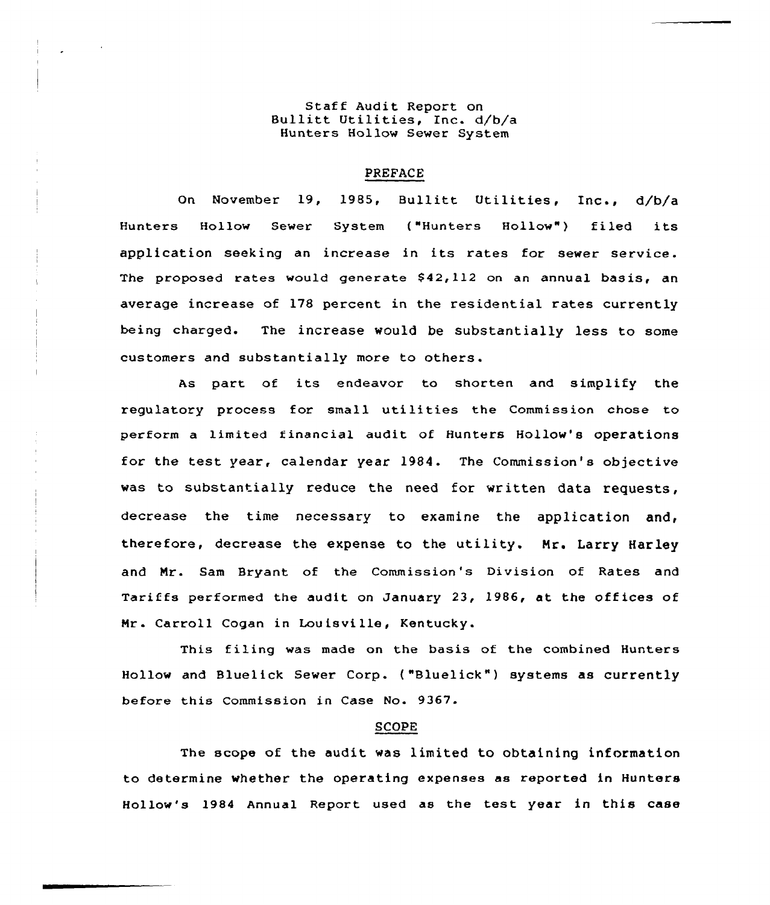# Staff Audit Report on Bullitt Utilities, Inc. d/b/a Hunters Hollow Sewer System

### PREFACE

On November 19, 1985, Bullitt Utilit<mark>ies, Inc.</mark>, d/b/ Hunters Hollow Sewer System ("Hunters Hollow") filed its application seeking an increase in its rates for sewer service. The proposed rates would generate 842,112 on an annual basis, an average increase of 178 percent in the residential rates currently being charged. The increase would be substantially less to some customers and substantially more to others.

As part of its endeavor to shorten and simplify the regulatory process for small utilities the Commission chose to perform a limited financial audit of Hunters Hollow's operations for the test year, calendar year 1984. The Commission's objective was to substantially reduce the need for written data requests, decrease the time necessary to examine the application and, therefore, decrease the expense to the utility. Mr. Larry Harley and Mr. Sam Bryant of the Commission's Division of Rates and Tariffs performed the audit on January 23, 1986, at the offices of Mr . Carroll Cogan in Louisville, Kentucky.

This filing was made on the basis of the combined Hunters Hollow and Bluelick Sewer Corp. ("Bluelick") systems as currently before this Commission in Case No. 9367.

#### SCOPE

The scope of the audit was limited to obtaining information to determine whether the operating expenses as reported in Hunters Hollow's 1984 Annual Report used as the test year in this case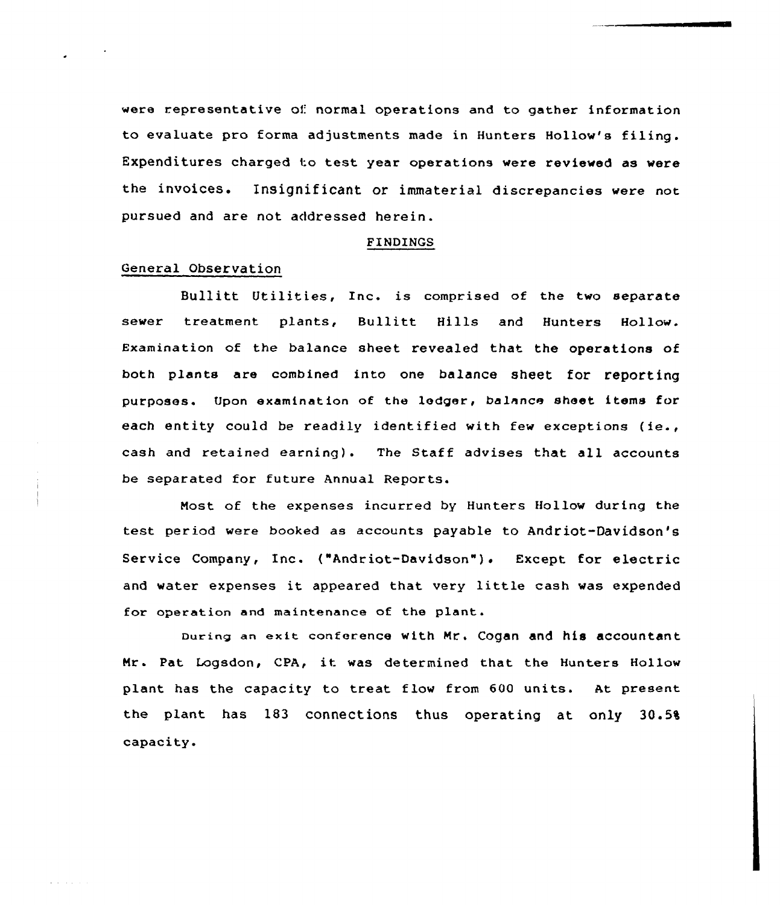were representative of normal operations and to gather information to evaluate pro forma adjustments made in Hunters Hollow's filing. Expenditures charged to test year operations were reviewed as were the invoices. Insignificant or immaterial discrepancies were not pursued and are not addressed herein.

#### FINDINGS

## General Observation

All All Constitution

Bullitt Utilities, Inc. is comprised of the two separate sewer treatment plants, Bullitt Hills and Hunters Hollow. Examination of the balance sheet revealed that the operations of both plants are combined into one balance sheet for reporting purposes. Upon examination of the ledger, balance sheet items for each entity could be readily identified with few exceptions (ie., cash and retained earning). The Staff advises that all accounts be separated for future Annual Reports.

Most of the expenses incurred by Hunters Hollow during the test period were booked as accounts payable to Andriot-Davidson's Service Company, Inc. ("Andriot-Davidson"). Except for electric and water expenses it appeared that very little cash was expended for operation and maintenance of the plant.

During an exit conference with Mrs Cogan and his accountant Mrs Pat Logsdon, CPA, it was determined that the Hunters Hollow plant has the capacity to treat flow from 600 units. At present the plant has 183 connections thus operating at only 30.5% capacity.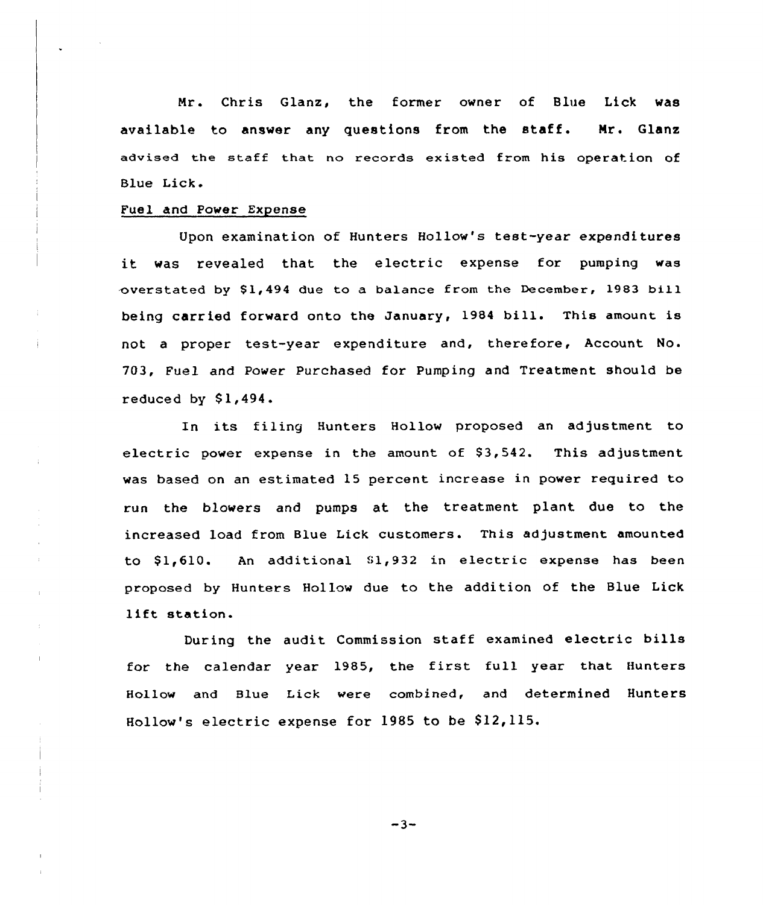Nr. Chris Glanz, the former owner of Blue Lick was available to answer any questions from the staff. Nr. Glanz advised the staff that no records existed from his operation of Blue Lick.

#### Fuel and Power Expense

 $\mathbf{r}$ 

Upon examination of Hunters Hollow's test-year expenditures it was revealed that the electric expense for pumping was overstated by \$1,494 due to a balance from the December, 1983 bill being carried forward onto the January, <sup>1984</sup> bill. This amount is not a proper test-year expenditure and, therefore, Account No. 703, Fuel and Power Purchased for Pumping and Treatment should be reduced by  $$1,494.$ 

In its filing Hunters Hollow proposed an adjustment to electric power expense in the amount of  $$3,542$ . This adjustment was based on an estimated 15 percent increase in power required to run the blowers and pumps at the treatment plant due to the increased load from Blue Lick customers. This adjustment amounted to  $$1,610$ . An additional  $$1,932$  in electric expense has been proposed by Hunters Hollow due to the addition of the Blue Lick lift station.

During the audit Commission staff examined electric bills for the calendar year 1985, the first full year that Hunters Hollow and Blue Lick were combined, and determined Hunters Hollow's electric expense for 1985 to be \$12,115.

 $-3-$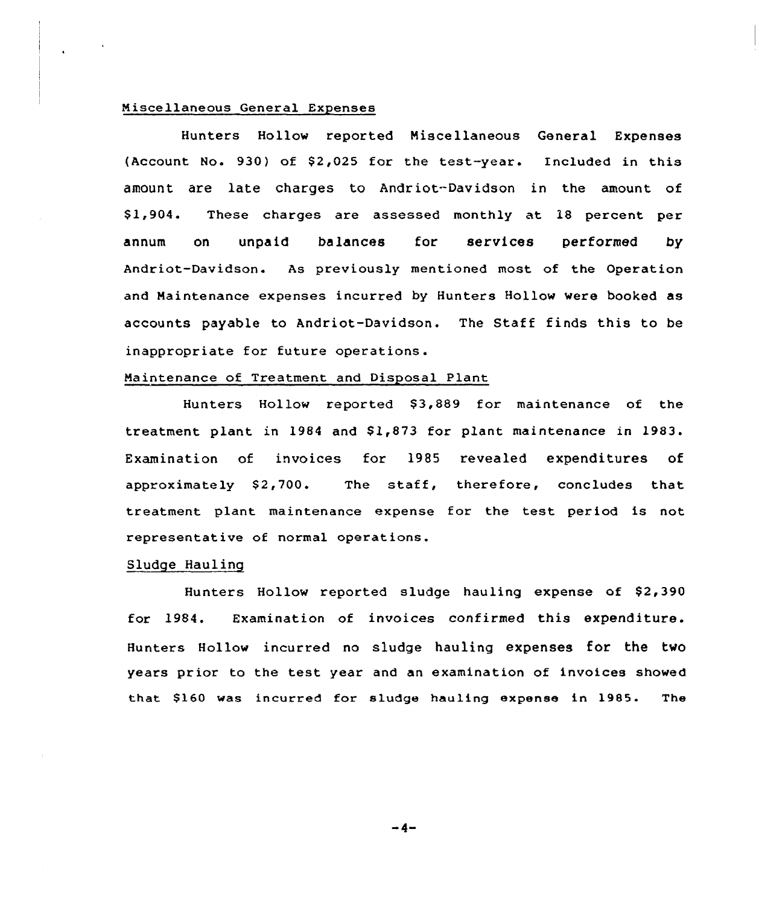## Miscellaneous General Expenses

Hunters Hollow reported Miscellaneous General Expenses (Account No. 930) of \$2,025 for the test-year. Included in this amount are late charges to Andriot-Davidson in the amount of \$ 1,904. These charges are assessed monthly at 18 percent per annum on unpaid balances for services performed by Andriot-Davidson. As previously mentioned most of the Operation and Maintenance expenses incurred by Hunters Hollow were booked as accounts payable to Andriot-Davidson. The Staff finds this to be inappropriate for future operations.

## Maintenance of Treatment and Disposal Plant

Hunters Hollow reported \$3,889 for maintenance of the treatment plant in 1984 and \$1,873 for plant maintenance in 1983. Examination of invoices for 1985 revealed expenditures of approximately  $$2,700$ . The staff, therefore, concludes that treatment plant maintenance expense for the test period is not representative of normal operations.

# Sludge Hauling

Hunters Hollow reported sludge hauling expense of \$2,390 for 1984. Examination of invoices confirmed this expenditure. Hunters Hollow incurred no sludge hauling expenses for the two years prior to the test year and an examination of invoices showed that \$160 was incurred for sludge hauling expense in 1985. The

-4-